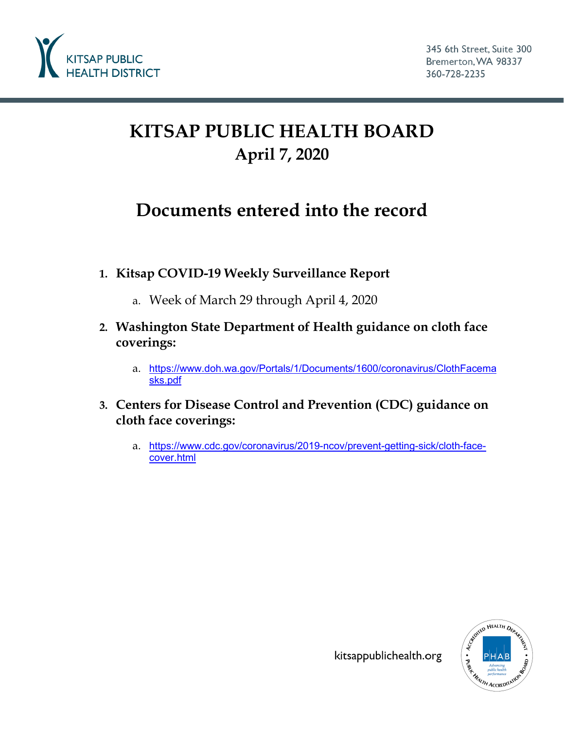

# **KITSAP PUBLIC HEALTH BOARD April 7, 2020**

## **Documents entered into the record**

- **1. Kitsap COVID-19 Weekly Surveillance Report**
	- a. Week of March 29 through April 4, 2020
- **2. Washington State Department of Health guidance on cloth face coverings:**
	- a. [https://www.doh.wa.gov/Portals/1/Documents/1600/coronavirus/ClothFacema](https://www.doh.wa.gov/Portals/1/Documents/1600/coronavirus/ClothFacemasks.pdf) [sks.pdf](https://www.doh.wa.gov/Portals/1/Documents/1600/coronavirus/ClothFacemasks.pdf)
- **3. Centers for Disease Control and Prevention (CDC) guidance on cloth face coverings:**
	- a. [https://www.cdc.gov/coronavirus/2019-ncov/prevent-getting-sick/cloth-face](https://www.cdc.gov/coronavirus/2019-ncov/prevent-getting-sick/cloth-face-cover.html)[cover.html](https://www.cdc.gov/coronavirus/2019-ncov/prevent-getting-sick/cloth-face-cover.html)



kitsappublichealth.org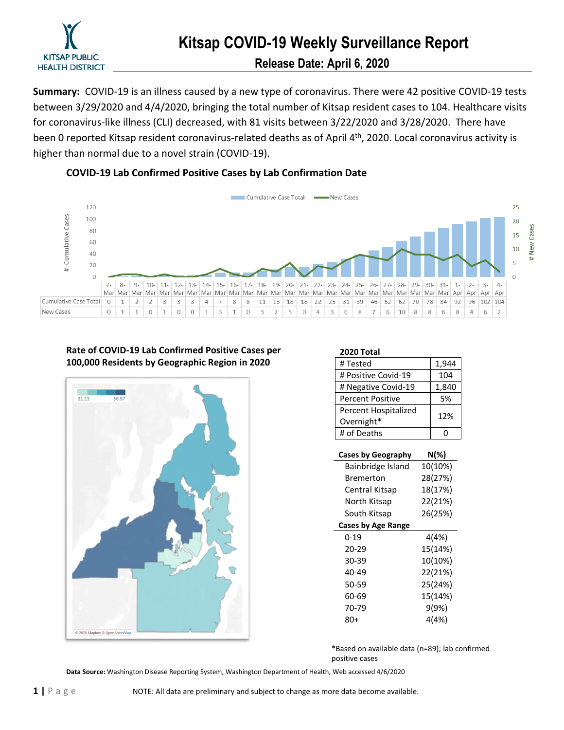

**Summary:** COVID-19 is an illness caused by a new type of coronavirus. There were 42 positive COVID-19 tests between 3/29/2020 and 4/4/2020, bringing the total number of Kitsap resident cases to 104. Healthcare visits for coronavirus-like illness (CLI) decreased, with 81 visits between 3/22/2020 and 3/28/2020. There have been 0 reported Kitsap resident coronavirus-related deaths as of April 4<sup>th</sup>, 2020. Local coronavirus activity is higher than normal due to a novel strain (COVID-19).

#### **COVID-19 Lab Confirmed Positive Cases by Lab Confirmation Date**



#### **Rate of COVID-19 Lab Confirmed Positive Cases per 100,000 Residents by Geographic Region in 2020**



| 2020 Total              |       |
|-------------------------|-------|
| # Tested                | 1,944 |
| # Positive Covid-19     | 104   |
| # Negative Covid-19     | 1,840 |
| <b>Percent Positive</b> | 5%    |
| Percent Hospitalized    | 12%   |
| Overnight*              |       |
| # of Deaths             |       |
|                         |       |

| Cases by Geography | N(%)    |
|--------------------|---------|
| Bainbridge Island  | 10(10%) |
| Bremerton          | 28(27%) |
| Central Kitsap     | 18(17%) |
| North Kitsap       | 22(21%) |
| South Kitsap       | 26(25%) |
| Cases by Age Range |         |
| 0-19               | 4(4%)   |
| 20-29              | 15(14%) |
| 30-39              | 10(10%) |
| 40-49              | 22(21%) |
| 50-59              | 25(24%) |
| 60-69              | 15(14%) |
| 70-79              | 9(9%)   |
| 80+                | 4(4%)   |

\*Based on available data (n=89); lab confirmed positive cases

**Data Source:** Washington Disease Reporting System, Washington Department of Health, Web accessed 4/6/2020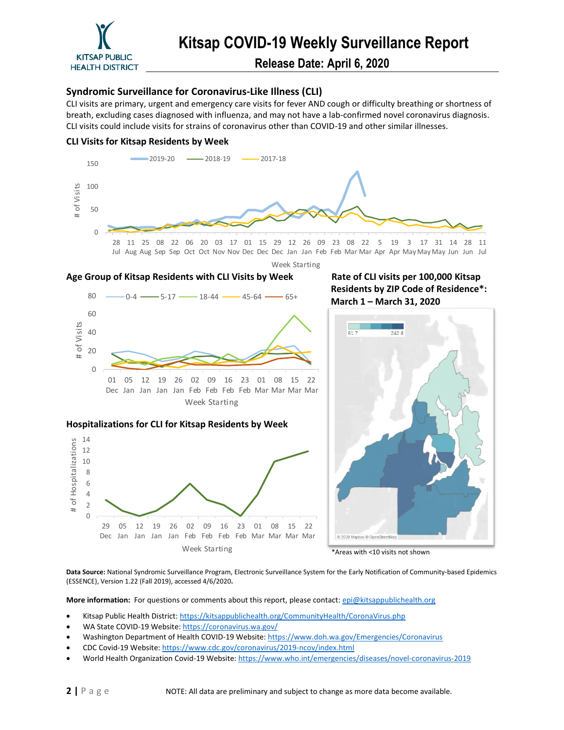

**Release Date: April 6, 2020**

#### **Syndromic Surveillance for Coronavirus-Like Illness (CLI)**

CLI visits are primary, urgent and emergency care visits for fever AND cough or difficulty breathing or shortness of breath, excluding cases diagnosed with influenza, and may not have a lab-confirmed novel coronavirus diagnosis. CLI visits could include visits for strains of coronavirus other than COVID-19 and other similar illnesses.





Jan Feb Feb Feb Mar Mar Mar Mar Week Starting

\*Areas with <10 visits not shown

© 2020 Mapbox © OpenStree

**Data Source:** National Syndromic Surveillance Program, Electronic Surveillance System for the Early Notification of Community-based Epidemics (ESSENCE), Version 1.22 (Fall 2019), accessed 4/6/2020**.** 

More information: For questions or comments about this report, please contact: [epi@kitsappublichealth.org](mailto:epi@kitsappublichealth.org)

- Kitsap Public Health District[: https://kitsappublichealth.org/CommunityHealth/CoronaVirus.php](https://kitsappublichealth.org/CommunityHealth/CoronaVirus.php)
- WA State COVID-19 Website[: https://coronavirus.wa.gov/](https://coronavirus.wa.gov/)

Dec Jan Jan Jan 

- Washington Department of Health COVID-19 Website:<https://www.doh.wa.gov/Emergencies/Coronavirus>
- CDC Covid-19 Website[: https://www.cdc.gov/coronavirus/2019-ncov/index.html](https://www.cdc.gov/coronavirus/2019-ncov/index.html)
- World Health Organization Covid-19 Website:<https://www.who.int/emergencies/diseases/novel-coronavirus-2019>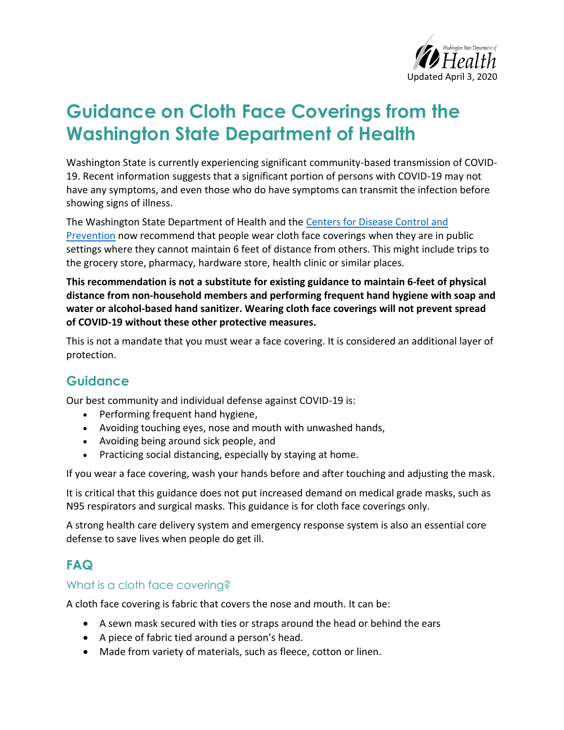

# **Guidance on Cloth Face Coverings from the Washington State Department of Health**

Washington State is currently experiencing significant community-based transmission of COVID-19. Recent information suggests that a significant portion of persons with COVID-19 may not have any symptoms, and even those who do have symptoms can transmit the infection before showing signs of illness.

The Washington State Department of Health and the Centers for Disease Control and [Prevention](https://www.cdc.gov/coronavirus/2019-ncov/prevent-getting-sick/cloth-face-cover.html) now recommend that people wear cloth face coverings when they are in public settings where they cannot maintain 6 feet of distance from others. This might include trips to the grocery store, pharmacy, hardware store, health clinic or similar places.

**This recommendation is not a substitute for existing guidance to maintain 6-feet of physical distance from non-household members and performing frequent hand hygiene with soap and water or alcohol-based hand sanitizer. Wearing cloth face coverings will not prevent spread of COVID-19 without these other protective measures.** 

This is not a mandate that you must wear a face covering. It is considered an additional layer of protection.

## **Guidance**

Our best community and individual defense against COVID-19 is:

- Performing frequent hand hygiene,
- Avoiding touching eyes, nose and mouth with unwashed hands,
- Avoiding being around sick people, and
- Practicing social distancing, especially by staying at home.

If you wear a face covering, wash your hands before and after touching and adjusting the mask.

It is critical that this guidance does not put increased demand on medical grade masks, such as N95 respirators and surgical masks. This guidance is for cloth face coverings only.

A strong health care delivery system and emergency response system is also an essential core defense to save lives when people do get ill.

## **FAQ**

### What is a cloth face covering?

A cloth face covering is fabric that covers the nose and mouth. It can be:

- A sewn mask secured with ties or straps around the head or behind the ears
- A piece of fabric tied around a person's head.
- Made from variety of materials, such as fleece, cotton or linen.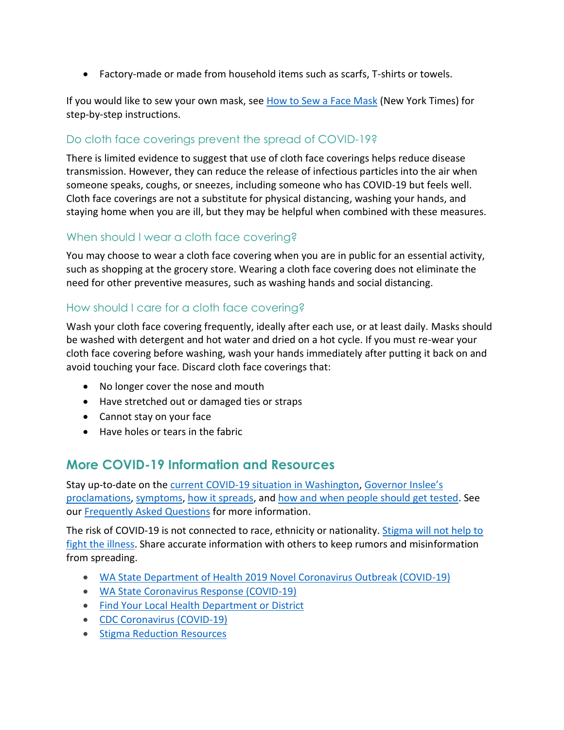Factory-made or made from household items such as scarfs, T-shirts or towels.

If you would like to sew your own mask, see [How to Sew a Face Mask](https://www.nytimes.com/article/how-to-make-face-mask-coronavirus.html) (New York Times) for step-by-step instructions.

## Do cloth face coverings prevent the spread of COVID-19?

There is limited evidence to suggest that use of cloth face coverings helps reduce disease transmission. However, they can reduce the release of infectious particles into the air when someone speaks, coughs, or sneezes, including someone who has COVID-19 but feels well. Cloth face coverings are not a substitute for physical distancing, washing your hands, and staying home when you are ill, but they may be helpful when combined with these measures.

### When should I wear a cloth face covering?

You may choose to wear a cloth face covering when you are in public for an essential activity, such as shopping at the grocery store. Wearing a cloth face covering does not eliminate the need for other preventive measures, such as washing hands and social distancing.

### How should I care for a cloth face covering?

Wash your cloth face covering frequently, ideally after each use, or at least daily. Masks should be washed with detergent and hot water and dried on a hot cycle. If you must re-wear your cloth face covering before washing, wash your hands immediately after putting it back on and avoid touching your face. Discard cloth face coverings that:

- No longer cover the nose and mouth
- Have stretched out or damaged ties or straps
- Cannot stay on your face
- Have holes or tears in the fabric

## **More COVID-19 Information and Resources**

Stay up-to-date on the [current COVID-19 situation in Washington,](https://www.doh.wa.gov/Emergencies/Coronavirus) [Governor Inslee's](https://www.governor.wa.gov/office-governor/official-actions/proclamations)  [proclamations,](https://www.governor.wa.gov/office-governor/official-actions/proclamations) [symptoms,](https://www.doh.wa.gov/Emergencies/NovelCoronavirusOutbreak2020/FrequentlyAskedQuestions#what-are-symptoms) [how it spreads,](https://www.doh.wa.gov/Emergencies/NovelCoronavirusOutbreak2020/FrequentlyAskedQuestions#spread) and [how and when people should get tested.](https://www.doh.wa.gov/Emergencies/NovelCoronavirusOutbreak2020/TestingforCOVID19) See our [Frequently Asked Questions](https://www.doh.wa.gov/Emergencies/NovelCoronavirusOutbreak2020/FrequentlyAskedQuestions) for more information.

The risk of COVID-19 is not connected to race, ethnicity or nationality. Stigma will not help to [fight the illness.](https://medium.com/wadepthealth/it-takes-all-of-us-to-reduce-stigma-during-disease-outbreaks-310db60dce29) Share accurate information with others to keep rumors and misinformation from spreading.

- [WA State Department of Health 2019 Novel Coronavirus Outbreak \(COVID-19\)](https://www.doh.wa.gov/emergencies/coronavirus)
- [WA State Coronavirus Response \(COVID-19\)](https://coronavirus.wa.gov/)
- Find Your [Local Health Department or District](https://www.doh.wa.gov/AboutUs/PublicHealthSystem/LocalHealthJurisdictions)
- [CDC Coronavirus \(COVID-19\)](https://www.cdc.gov/coronavirus/2019-ncov/index.html)
- [Stigma Reduction](https://www.doh.wa.gov/Emergencies/NovelCoronavirusOutbreak2020/StigmaReduction) Resources